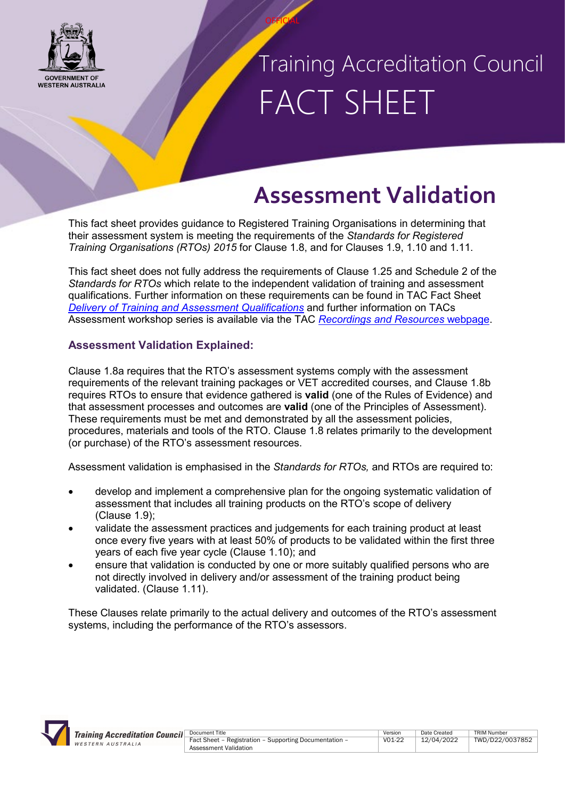

# Training Accreditation Council FACT SHEET

### **Assessment Validation**

This fact sheet provides guidance to Registered Training Organisations in determining that their assessment system is meeting the requirements of the *Standards for Registered Training Organisations (RTOs) 2015* for Clause 1.8, and for Clauses 1.9, 1.10 and 1.11.

**OFFICIAL** 

This fact sheet does not fully address the requirements of Clause 1.25 and Schedule 2 of the *Standards for RTOs* which relate to the independent validation of training and assessment qualifications. Further information on these requirements can be found in TAC Fact Sheet *[Delivery of Training and Assessment Qualifications](https://tac.wa.gov.au/Pages/Delivery-of-Training-and-Assessment-Qualifications.aspx)* and further information on TACs Assessment workshop series is available via the TAC *[Recordings and Resources](https://www.tac.wa.gov.au/about-us/Pages/Professional-Development-Recordings-and-Resources.aspx)* webpage.

#### **Assessment Validation Explained:**

Clause 1.8a requires that the RTO's assessment systems comply with the assessment requirements of the relevant training packages or VET accredited courses, and Clause 1.8b requires RTOs to ensure that evidence gathered is **valid** (one of the Rules of Evidence) and that assessment processes and outcomes are **valid** (one of the Principles of Assessment). These requirements must be met and demonstrated by all the assessment policies, procedures, materials and tools of the RTO. Clause 1.8 relates primarily to the development (or purchase) of the RTO's assessment resources.

Assessment validation is emphasised in the *Standards for RTOs,* and RTOs are required to:

- develop and implement a comprehensive plan for the ongoing systematic validation of assessment that includes all training products on the RTO's scope of delivery (Clause 1.9);
- validate the assessment practices and judgements for each training product at least once every five years with at least 50% of products to be validated within the first three years of each five year cycle (Clause 1.10); and
- ensure that validation is conducted by one or more suitably qualified persons who are not directly involved in delivery and/or assessment of the training product being validated. (Clause 1.11).

These Clauses relate primarily to the actual delivery and outcomes of the RTO's assessment systems, including the performance of the RTO's assessors.

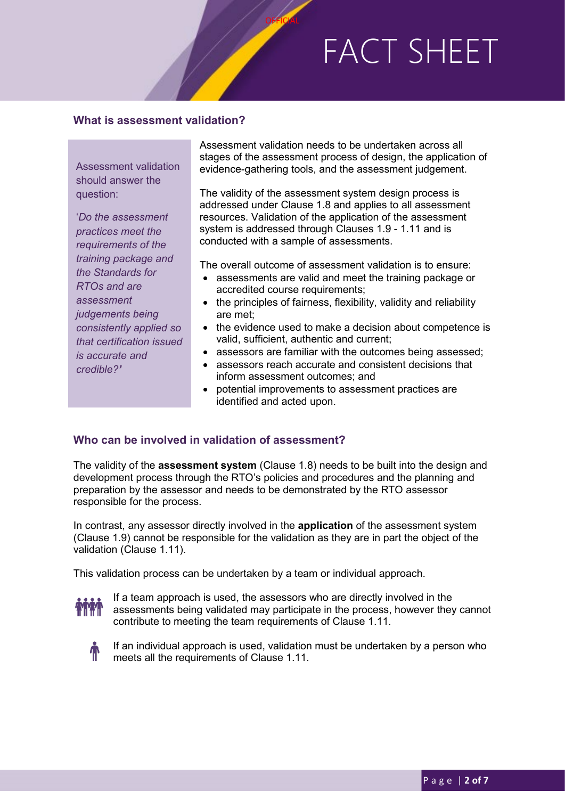#### **What is assessment validation?**

Assessment validation should answer the question:

'*Do the assessment practices meet the requirements of the training package and the Standards for RTOs and are assessment judgements being consistently applied so that certification issued is accurate and credible?'*

Assessment validation needs to be undertaken across all stages of the assessment process of design, the application of evidence-gathering tools, and the assessment judgement.

**OFFICIAL** 

The validity of the assessment system design process is addressed under Clause 1.8 and applies to all assessment resources. Validation of the application of the assessment system is addressed through Clauses 1.9 - 1.11 and is conducted with a sample of assessments.

The overall outcome of assessment validation is to ensure:

- assessments are valid and meet the training package or accredited course requirements;
- the principles of fairness, flexibility, validity and reliability are met;
- the evidence used to make a decision about competence is valid, sufficient, authentic and current;
- assessors are familiar with the outcomes being assessed;
- assessors reach accurate and consistent decisions that inform assessment outcomes; and
- potential improvements to assessment practices are identified and acted upon.

#### **Who can be involved in validation of assessment?**

The validity of the **assessment system** (Clause 1.8) needs to be built into the design and development process through the RTO's policies and procedures and the planning and preparation by the assessor and needs to be demonstrated by the RTO assessor responsible for the process.

In contrast, any assessor directly involved in the **application** of the assessment system (Clause 1.9) cannot be responsible for the validation as they are in part the object of the validation (Clause 1.11).

This validation process can be undertaken by a team or individual approach.



If a team approach is used, the assessors who are directly involved in the assessments being validated may participate in the process, however they cannot contribute to meeting the team requirements of Clause 1.11.



If an individual approach is used, validation must be undertaken by a person who meets all the requirements of Clause 1.11.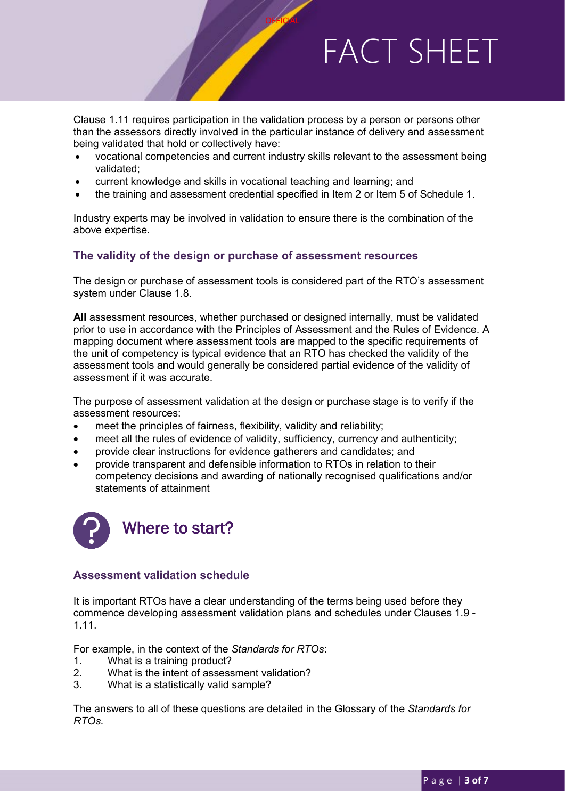Clause 1.11 requires participation in the validation process by a person or persons other than the assessors directly involved in the particular instance of delivery and assessment being validated that hold or collectively have:

**OFFICIAL** 

- vocational competencies and current industry skills relevant to the assessment being validated;
- current knowledge and skills in vocational teaching and learning; and
- the training and assessment credential specified in Item 2 or Item 5 of Schedule 1.

Industry experts may be involved in validation to ensure there is the combination of the above expertise.

#### **The validity of the design or purchase of assessment resources**

The design or purchase of assessment tools is considered part of the RTO's assessment system under Clause 1.8.

**All** assessment resources, whether purchased or designed internally, must be validated prior to use in accordance with the Principles of Assessment and the Rules of Evidence. A mapping document where assessment tools are mapped to the specific requirements of the unit of competency is typical evidence that an RTO has checked the validity of the assessment tools and would generally be considered partial evidence of the validity of assessment if it was accurate.

The purpose of assessment validation at the design or purchase stage is to verify if the assessment resources:

- meet the principles of fairness, flexibility, validity and reliability;
- meet all the rules of evidence of validity, sufficiency, currency and authenticity;
- provide clear instructions for evidence gatherers and candidates; and
- provide transparent and defensible information to RTOs in relation to their competency decisions and awarding of nationally recognised qualifications and/or statements of attainment



#### **Assessment validation schedule**

It is important RTOs have a clear understanding of the terms being used before they commence developing assessment validation plans and schedules under Clauses 1.9 - 1.11.

For example, in the context of the *Standards for RTOs*:

- 1. What is a training product?
- 2. What is the intent of assessment validation?
- 3. What is a statistically valid sample?

The answers to all of these questions are detailed in the Glossary of the *Standards for RTOs.*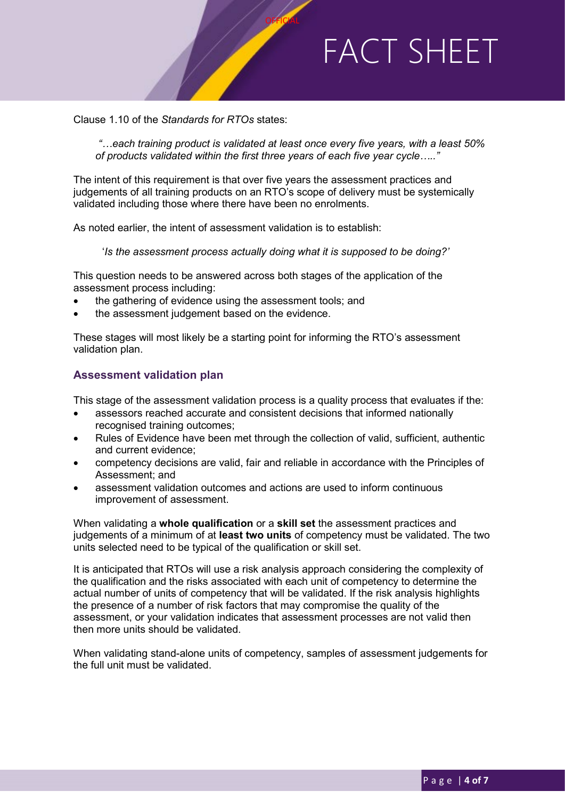Clause 1.10 of the *Standards for RTOs* states:

*"…each training product is validated at least once every five years, with a least 50% of products validated within the first three years of each five year cycle….."*

**OFFICIAL** 

The intent of this requirement is that over five years the assessment practices and judgements of all training products on an RTO's scope of delivery must be systemically validated including those where there have been no enrolments.

As noted earlier, the intent of assessment validation is to establish:

'*Is the assessment process actually doing what it is supposed to be doing?'*

This question needs to be answered across both stages of the application of the assessment process including:

- the gathering of evidence using the assessment tools; and
- the assessment judgement based on the evidence.

These stages will most likely be a starting point for informing the RTO's assessment validation plan.

#### **Assessment validation plan**

This stage of the assessment validation process is a quality process that evaluates if the:

- assessors reached accurate and consistent decisions that informed nationally recognised training outcomes;
- Rules of Evidence have been met through the collection of valid, sufficient, authentic and current evidence;
- competency decisions are valid, fair and reliable in accordance with the Principles of Assessment; and
- assessment validation outcomes and actions are used to inform continuous improvement of assessment.

When validating a **whole qualification** or a **skill set** the assessment practices and judgements of a minimum of at **least two units** of competency must be validated. The two units selected need to be typical of the qualification or skill set.

It is anticipated that RTOs will use a risk analysis approach considering the complexity of the qualification and the risks associated with each unit of competency to determine the actual number of units of competency that will be validated. If the risk analysis highlights the presence of a number of risk factors that may compromise the quality of the assessment, or your validation indicates that assessment processes are not valid then then more units should be validated.

When validating stand-alone units of competency, samples of assessment judgements for the full unit must be validated.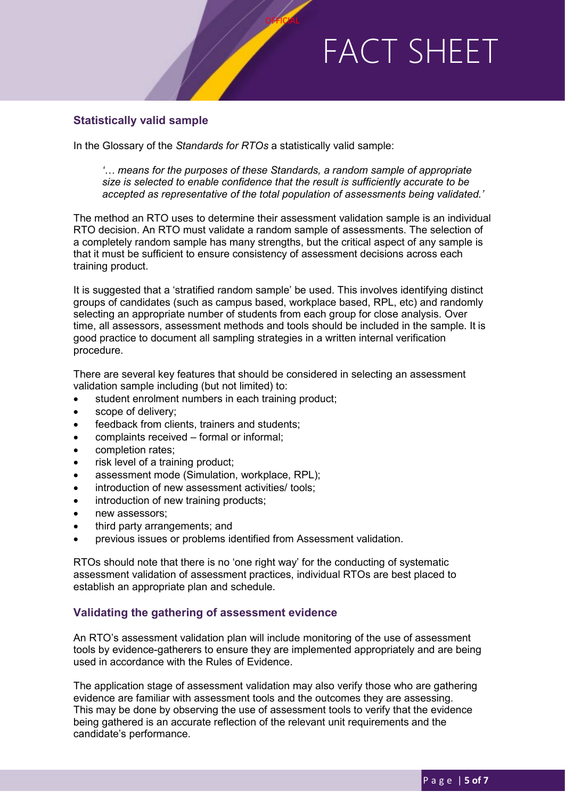#### **Statistically valid sample**

In the Glossary of the *Standards for RTOs* a statistically valid sample:

*'… means for the purposes of these Standards, a random sample of appropriate size is selected to enable confidence that the result is sufficiently accurate to be accepted as representative of the total population of assessments being validated.'*

**OFFICIAL** 

The method an RTO uses to determine their assessment validation sample is an individual RTO decision. An RTO must validate a random sample of assessments. The selection of a completely random sample has many strengths, but the critical aspect of any sample is that it must be sufficient to ensure consistency of assessment decisions across each training product.

It is suggested that a 'stratified random sample' be used. This involves identifying distinct groups of candidates (such as campus based, workplace based, RPL, etc) and randomly selecting an appropriate number of students from each group for close analysis. Over time, all assessors, assessment methods and tools should be included in the sample. It is good practice to document all sampling strategies in a written internal verification procedure.

There are several key features that should be considered in selecting an assessment validation sample including (but not limited) to:

- student enrolment numbers in each training product;
- scope of delivery;
- feedback from clients, trainers and students;
- complaints received formal or informal;
- completion rates;
- risk level of a training product;
- assessment mode (Simulation, workplace, RPL);
- introduction of new assessment activities/ tools;
- introduction of new training products;
- new assessors;
- third party arrangements; and
- previous issues or problems identified from Assessment validation.

RTOs should note that there is no 'one right way' for the conducting of systematic assessment validation of assessment practices, individual RTOs are best placed to establish an appropriate plan and schedule.

#### **Validating the gathering of assessment evidence**

An RTO's assessment validation plan will include monitoring of the use of assessment tools by evidence-gatherers to ensure they are implemented appropriately and are being used in accordance with the Rules of Evidence.

The application stage of assessment validation may also verify those who are gathering evidence are familiar with assessment tools and the outcomes they are assessing. This may be done by observing the use of assessment tools to verify that the evidence being gathered is an accurate reflection of the relevant unit requirements and the candidate's performance.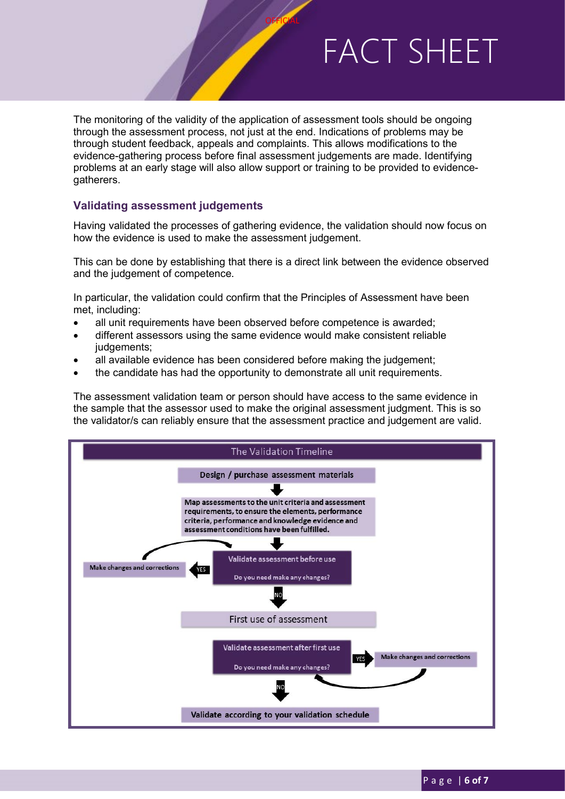The monitoring of the validity of the application of assessment tools should be ongoing through the assessment process, not just at the end. Indications of problems may be through student feedback, appeals and complaints. This allows modifications to the evidence-gathering process before final assessment judgements are made. Identifying problems at an early stage will also allow support or training to be provided to evidencegatherers.

**OFFICIAL** 

#### **Validating assessment judgements**

Having validated the processes of gathering evidence, the validation should now focus on how the evidence is used to make the assessment judgement.

This can be done by establishing that there is a direct link between the evidence observed and the judgement of competence.

In particular, the validation could confirm that the Principles of Assessment have been met, including:

- all unit requirements have been observed before competence is awarded;
- different assessors using the same evidence would make consistent reliable judgements;
- all available evidence has been considered before making the judgement;
- the candidate has had the opportunity to demonstrate all unit requirements.

The assessment validation team or person should have access to the same evidence in the sample that the assessor used to make the original assessment judgment. This is so the validator/s can reliably ensure that the assessment practice and judgement are valid.